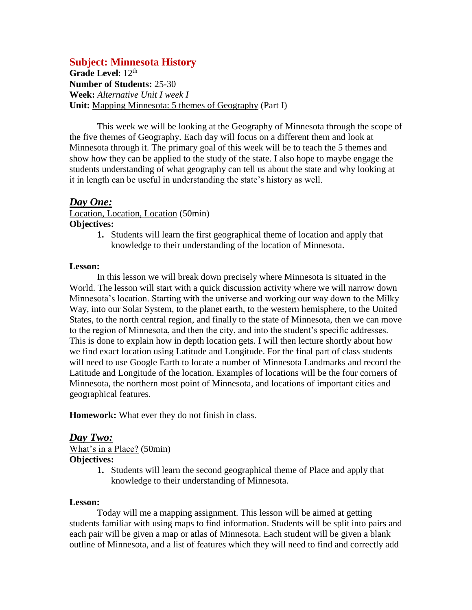# **Subject: Minnesota History**

Grade Level: 12<sup>th</sup> **Number of Students:** 25-30 **Week:** *Alternative Unit I week I* **Unit:** Mapping Minnesota: 5 themes of Geography (Part I)

This week we will be looking at the Geography of Minnesota through the scope of the five themes of Geography. Each day will focus on a different them and look at Minnesota through it. The primary goal of this week will be to teach the 5 themes and show how they can be applied to the study of the state. I also hope to maybe engage the students understanding of what geography can tell us about the state and why looking at it in length can be useful in understanding the state's history as well.

### *Day One:*

Location, Location, Location (50min) **Objectives:**

> **1.** Students will learn the first geographical theme of location and apply that knowledge to their understanding of the location of Minnesota.

#### **Lesson:**

In this lesson we will break down precisely where Minnesota is situated in the World. The lesson will start with a quick discussion activity where we will narrow down Minnesota's location. Starting with the universe and working our way down to the Milky Way, into our Solar System, to the planet earth, to the western hemisphere, to the United States, to the north central region, and finally to the state of Minnesota, then we can move to the region of Minnesota, and then the city, and into the student's specific addresses. This is done to explain how in depth location gets. I will then lecture shortly about how we find exact location using Latitude and Longitude. For the final part of class students will need to use Google Earth to locate a number of Minnesota Landmarks and record the Latitude and Longitude of the location. Examples of locations will be the four corners of Minnesota, the northern most point of Minnesota, and locations of important cities and geographical features.

**Homework:** What ever they do not finish in class.

#### *Day Two:*

What's in a Place? (50min) **Objectives:**

- - **1.** Students will learn the second geographical theme of Place and apply that knowledge to their understanding of Minnesota.

#### **Lesson:**

Today will me a mapping assignment. This lesson will be aimed at getting students familiar with using maps to find information. Students will be split into pairs and each pair will be given a map or atlas of Minnesota. Each student will be given a blank outline of Minnesota, and a list of features which they will need to find and correctly add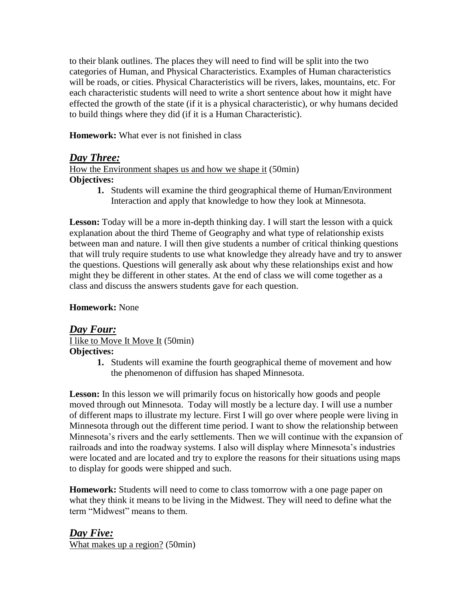to their blank outlines. The places they will need to find will be split into the two categories of Human, and Physical Characteristics. Examples of Human characteristics will be roads, or cities. Physical Characteristics will be rivers, lakes, mountains, etc. For each characteristic students will need to write a short sentence about how it might have effected the growth of the state (if it is a physical characteristic), or why humans decided to build things where they did (if it is a Human Characteristic).

**Homework:** What ever is not finished in class

# *Day Three:*

How the Environment shapes us and how we shape it (50min) **Objectives:**

**1.** Students will examine the third geographical theme of Human/Environment Interaction and apply that knowledge to how they look at Minnesota.

Lesson: Today will be a more in-depth thinking day. I will start the lesson with a quick explanation about the third Theme of Geography and what type of relationship exists between man and nature. I will then give students a number of critical thinking questions that will truly require students to use what knowledge they already have and try to answer the questions. Questions will generally ask about why these relationships exist and how might they be different in other states. At the end of class we will come together as a class and discuss the answers students gave for each question.

### **Homework:** None

## *Day Four:* I like to Move It Move It (50min) **Objectives:**

**1.** Students will examine the fourth geographical theme of movement and how the phenomenon of diffusion has shaped Minnesota.

Lesson: In this lesson we will primarily focus on historically how goods and people moved through out Minnesota. Today will mostly be a lecture day. I will use a number of different maps to illustrate my lecture. First I will go over where people were living in Minnesota through out the different time period. I want to show the relationship between Minnesota's rivers and the early settlements. Then we will continue with the expansion of railroads and into the roadway systems. I also will display where Minnesota's industries were located and are located and try to explore the reasons for their situations using maps to display for goods were shipped and such.

**Homework:** Students will need to come to class tomorrow with a one page paper on what they think it means to be living in the Midwest. They will need to define what the term "Midwest" means to them.

*Day Five:* What makes up a region? (50min)